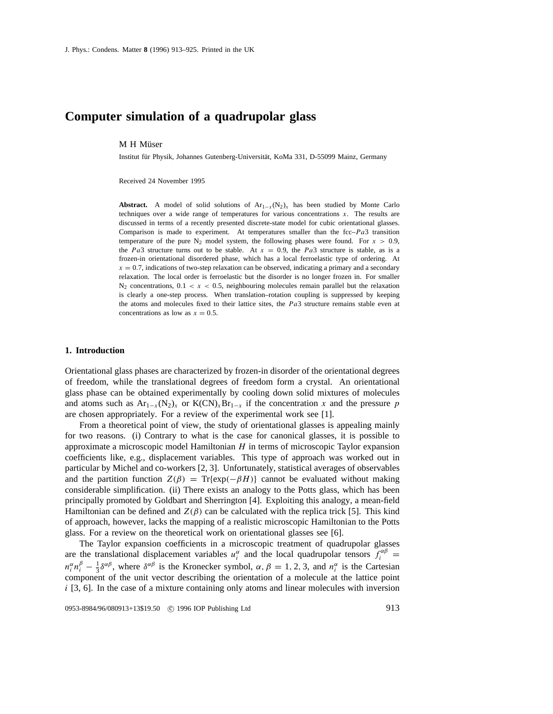# **Computer simulation of a quadrupolar glass**

## M H Müser

Institut für Physik, Johannes Gutenberg-Universität, KoMa 331, D-55099 Mainz, Germany

Received 24 November 1995

**Abstract.** A model of solid solutions of  $Ar_{1-x}(N_2)_x$  has been studied by Monte Carlo techniques over a wide range of temperatures for various concentrations  $x$ . The results are discussed in terms of a recently presented discrete-state model for cubic orientational glasses. Comparison is made to experiment. At temperatures smaller than the fcc– $Pa3$  transition temperature of the pure  $N_2$  model system, the following phases were found. For  $x > 0.9$ , the Pa3 structure turns out to be stable. At  $x = 0.9$ , the Pa3 structure is stable, as is a frozen-in orientational disordered phase, which has a local ferroelastic type of ordering. At  $x = 0.7$ , indications of two-step relaxation can be observed, indicating a primary and a secondary relaxation. The local order is ferroelastic but the disorder is no longer frozen in. For smaller  $N_2$  concentrations,  $0.1 < x < 0.5$ , neighbouring molecules remain parallel but the relaxation is clearly a one-step process. When translation–rotation coupling is suppressed by keeping the atoms and molecules fixed to their lattice sites, the  $Pa3$  structure remains stable even at concentrations as low as  $x = 0.5$ .

## **1. Introduction**

Orientational glass phases are characterized by frozen-in disorder of the orientational degrees of freedom, while the translational degrees of freedom form a crystal. An orientational glass phase can be obtained experimentally by cooling down solid mixtures of molecules and atoms such as  $Ar_{1-x}(N_2)_x$  or  $K(CN)_xBr_{1-x}$  if the concentration x and the pressure p are chosen appropriately. For a review of the experimental work see [1].

From a theoretical point of view, the study of orientational glasses is appealing mainly for two reasons. (i) Contrary to what is the case for canonical glasses, it is possible to approximate a microscopic model Hamiltonian  $H$  in terms of microscopic Taylor expansion coefficients like, e.g., displacement variables. This type of approach was worked out in particular by Michel and co-workers [2, 3]. Unfortunately, statistical averages of observables and the partition function  $Z(\beta) = Tr{exp(-\beta H)}$  cannot be evaluated without making considerable simplification. (ii) There exists an analogy to the Potts glass, which has been principally promoted by Goldbart and Sherrington [4]. Exploiting this analogy, a mean-field Hamiltonian can be defined and  $Z(\beta)$  can be calculated with the replica trick [5]. This kind of approach, however, lacks the mapping of a realistic microscopic Hamiltonian to the Potts glass. For a review on the theoretical work on orientational glasses see [6].

The Taylor expansion coefficients in a microscopic treatment of quadrupolar glasses are the translational displacement variables  $u_i^{\alpha}$  and the local quadrupolar tensors  $f_i^{\alpha\beta}$  $n_i^{\alpha} n_i^{\beta} - \frac{1}{3} \delta^{\alpha \beta}$ , where  $\delta^{\alpha \beta}$  is the Kronecker symbol,  $\alpha, \beta = 1, 2, 3$ , and  $n_i^{\alpha}$  is the Cartesian component of the unit vector describing the orientation of a molecule at the lattice point  $i$  [3, 6]. In the case of a mixture containing only atoms and linear molecules with inversion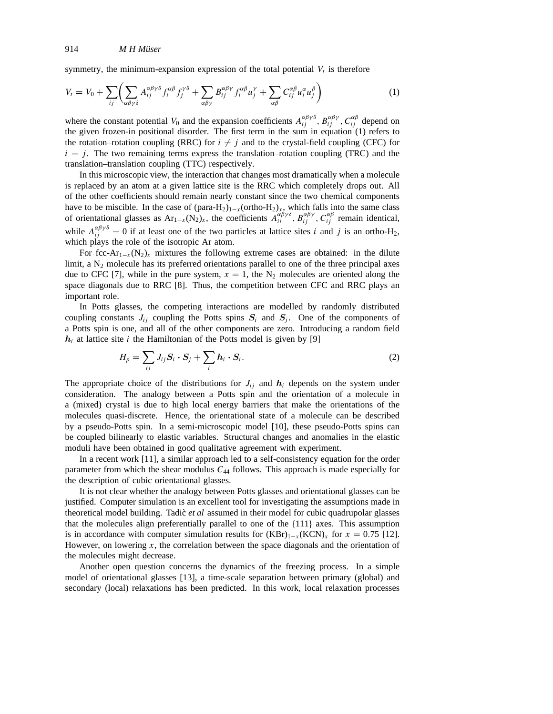symmetry, the minimum-expansion expression of the total potential  $V_t$  is therefore

$$
V_t = V_0 + \sum_{ij} \left( \sum_{\alpha\beta\gamma\delta} A_{ij}^{\alpha\beta\gamma\delta} f_i^{\alpha\beta} f_j^{\gamma\delta} + \sum_{\alpha\beta\gamma} B_{ij}^{\alpha\beta\gamma} f_i^{\alpha\beta} u_j^{\gamma} + \sum_{\alpha\beta} C_{ij}^{\alpha\beta} u_i^{\alpha} u_j^{\beta} \right)
$$
(1)

where the constant potential  $V_0$  and the expansion coefficients  $A_{ij}^{\alpha\beta\gamma\delta}$ ,  $B_{ij}^{\alpha\beta\gamma}$ ,  $C_{ij}^{\alpha\beta}$  depend on the given frozen-in positional disorder. The first term in the sum in equation (1) refers to the rotation–rotation coupling (RRC) for  $i \neq j$  and to the crystal-field coupling (CFC) for  $i = j$ . The two remaining terms express the translation–rotation coupling (TRC) and the translation–translation coupling (TTC) respectively.

In this microscopic view, the interaction that changes most dramatically when a molecule is replaced by an atom at a given lattice site is the RRC which completely drops out. All of the other coefficients should remain nearly constant since the two chemical components have to be miscible. In the case of  $(para-H_2)_{1-x} (ortho-H_2)_x$ , which falls into the same class of orientational glasses as  $Ar_{1-x}(N_2)_x$ , the coefficients  $A_{ii}^{\alpha\beta\gamma\delta}$ ,  $B_{ij}^{\alpha\beta\gamma}$ ,  $C_{ij}^{\alpha\beta}$  remain identical, while  $A_{ij}^{\alpha\beta\gamma\delta} = 0$  if at least one of the two particles at lattice sites i and j is an ortho-H<sub>2</sub>, which plays the role of the isotropic Ar atom.

For fcc-Ar<sub>1-x</sub>(N<sub>2</sub>)<sub>x</sub> mixtures the following extreme cases are obtained: in the dilute limit, a  $N_2$  molecule has its preferred orientations parallel to one of the three principal axes due to CFC [7], while in the pure system,  $x = 1$ , the N<sub>2</sub> molecules are oriented along the space diagonals due to RRC [8]. Thus, the competition between CFC and RRC plays an important role.

In Potts glasses, the competing interactions are modelled by randomly distributed coupling constants  $J_{ij}$  coupling the Potts spins  $S_i$  and  $S_j$ . One of the components of a Potts spin is one, and all of the other components are zero. Introducing a random field  $h_i$  at lattice site *i* the Hamiltonian of the Potts model is given by [9]

$$
H_p = \sum_{ij} J_{ij} S_i \cdot S_j + \sum_i h_i \cdot S_i.
$$
 (2)

The appropriate choice of the distributions for  $J_{ij}$  and  $h_i$  depends on the system under consideration. The analogy between a Potts spin and the orientation of a molecule in a (mixed) crystal is due to high local energy barriers that make the orientations of the molecules quasi-discrete. Hence, the orientational state of a molecule can be described by a pseudo-Potts spin. In a semi-microscopic model [10], these pseudo-Potts spins can be coupled bilinearly to elastic variables. Structural changes and anomalies in the elastic moduli have been obtained in good qualitative agreement with experiment.

In a recent work [11], a similar approach led to a self-consistency equation for the order parameter from which the shear modulus  $C_{44}$  follows. This approach is made especially for the description of cubic orientational glasses.

It is not clear whether the analogy between Potts glasses and orientational glasses can be justified. Computer simulation is an excellent tool for investigating the assumptions made in theoretical model building. Tadic` *et al* assumed in their model for cubic quadrupolar glasses that the molecules align preferentially parallel to one of the {111} axes. This assumption is in accordance with computer simulation results for  $(KBr)_{1-x}(KCN)_x$  for  $x = 0.75$  [12]. However, on lowering  $x$ , the correlation between the space diagonals and the orientation of the molecules might decrease.

Another open question concerns the dynamics of the freezing process. In a simple model of orientational glasses [13], a time-scale separation between primary (global) and secondary (local) relaxations has been predicted. In this work, local relaxation processes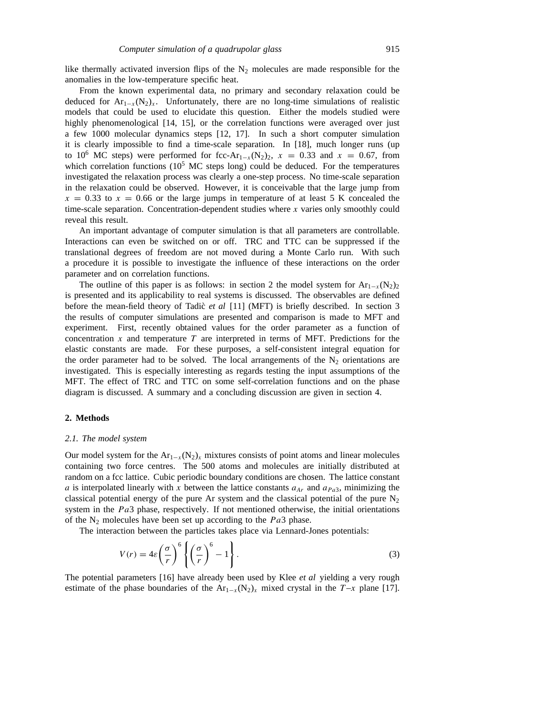like thermally activated inversion flips of the  $N_2$  molecules are made responsible for the anomalies in the low-temperature specific heat.

From the known experimental data, no primary and secondary relaxation could be deduced for  $Ar_{1-x}(N_2)_x$ . Unfortunately, there are no long-time simulations of realistic models that could be used to elucidate this question. Either the models studied were highly phenomenological [14, 15], or the correlation functions were averaged over just a few 1000 molecular dynamics steps [12, 17]. In such a short computer simulation it is clearly impossible to find a time-scale separation. In [18], much longer runs (up to 10<sup>6</sup> MC steps) were performed for fcc-Ar<sub>1−x</sub>(N<sub>2</sub>)<sub>2</sub>, x = 0.33 and x = 0.67, from which correlation functions  $(10^5 \text{ MC steps long})$  could be deduced. For the temperatures investigated the relaxation process was clearly a one-step process. No time-scale separation in the relaxation could be observed. However, it is conceivable that the large jump from  $x = 0.33$  to  $x = 0.66$  or the large jumps in temperature of at least 5 K concealed the time-scale separation. Concentration-dependent studies where x varies only smoothly could reveal this result.

An important advantage of computer simulation is that all parameters are controllable. Interactions can even be switched on or off. TRC and TTC can be suppressed if the translational degrees of freedom are not moved during a Monte Carlo run. With such a procedure it is possible to investigate the influence of these interactions on the order parameter and on correlation functions.

The outline of this paper is as follows: in section 2 the model system for  $Ar_{1-x}(N_2)_2$ is presented and its applicability to real systems is discussed. The observables are defined before the mean-field theory of Tadic` *et al* [11] (MFT) is briefly described. In section 3 the results of computer simulations are presented and comparison is made to MFT and experiment. First, recently obtained values for the order parameter as a function of concentration  $x$  and temperature  $T$  are interpreted in terms of MFT. Predictions for the elastic constants are made. For these purposes, a self-consistent integral equation for the order parameter had to be solved. The local arrangements of the  $N_2$  orientations are investigated. This is especially interesting as regards testing the input assumptions of the MFT. The effect of TRC and TTC on some self-correlation functions and on the phase diagram is discussed. A summary and a concluding discussion are given in section 4.

#### **2. Methods**

#### *2.1. The model system*

Our model system for the  $Ar_{1-x}(N_2)_x$  mixtures consists of point atoms and linear molecules containing two force centres. The 500 atoms and molecules are initially distributed at random on a fcc lattice. Cubic periodic boundary conditions are chosen. The lattice constant a is interpolated linearly with x between the lattice constants  $a_{Ar}$  and  $a_{Pa}$ , minimizing the classical potential energy of the pure Ar system and the classical potential of the pure  $N_2$ system in the  $Pa3$  phase, respectively. If not mentioned otherwise, the initial orientations of the  $N_2$  molecules have been set up according to the  $Pa3$  phase.

The interaction between the particles takes place via Lennard-Jones potentials:

$$
V(r) = 4\varepsilon \left(\frac{\sigma}{r}\right)^6 \left\{ \left(\frac{\sigma}{r}\right)^6 - 1 \right\}.
$$
 (3)

The potential parameters [16] have already been used by Klee *et al* yielding a very rough estimate of the phase boundaries of the Ar<sub>1−x</sub>(N<sub>2</sub>)<sub>x</sub> mixed crystal in the T-x plane [17].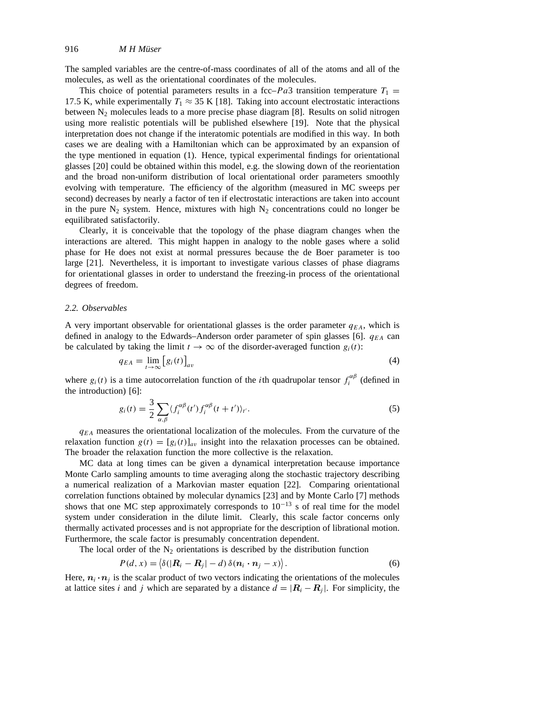The sampled variables are the centre-of-mass coordinates of all of the atoms and all of the molecules, as well as the orientational coordinates of the molecules.

This choice of potential parameters results in a fcc–Pa3 transition temperature  $T_1$  = 17.5 K, while experimentally  $T_1 \approx 35$  K [18]. Taking into account electrostatic interactions between  $N_2$  molecules leads to a more precise phase diagram [8]. Results on solid nitrogen using more realistic potentials will be published elsewhere [19]. Note that the physical interpretation does not change if the interatomic potentials are modified in this way. In both cases we are dealing with a Hamiltonian which can be approximated by an expansion of the type mentioned in equation (1). Hence, typical experimental findings for orientational glasses [20] could be obtained within this model, e.g. the slowing down of the reorientation and the broad non-uniform distribution of local orientational order parameters smoothly evolving with temperature. The efficiency of the algorithm (measured in MC sweeps per second) decreases by nearly a factor of ten if electrostatic interactions are taken into account in the pure  $N_2$  system. Hence, mixtures with high  $N_2$  concentrations could no longer be equilibrated satisfactorily.

Clearly, it is conceivable that the topology of the phase diagram changes when the interactions are altered. This might happen in analogy to the noble gases where a solid phase for He does not exist at normal pressures because the de Boer parameter is too large [21]. Nevertheless, it is important to investigate various classes of phase diagrams for orientational glasses in order to understand the freezing-in process of the orientational degrees of freedom.

#### *2.2. Observables*

A very important observable for orientational glasses is the order parameter  $q_{EA}$ , which is defined in analogy to the Edwards–Anderson order parameter of spin glasses [6].  $q_{EA}$  can be calculated by taking the limit  $t \to \infty$  of the disorder-averaged function  $g_i(t)$ :

$$
q_{EA} = \lim_{t \to \infty} [g_i(t)]_{av} \tag{4}
$$

where  $g_i(t)$  is a time autocorrelation function of the *i*th quadrupolar tensor  $f_i^{\alpha\beta}$  (defined in the introduction) [6]:

$$
g_i(t) = \frac{3}{2} \sum_{\alpha,\beta} \langle f_i^{\alpha\beta}(t') f_i^{\alpha\beta}(t+t') \rangle_{t'}.
$$
\n
$$
(5)
$$

 $q_{EA}$  measures the orientational localization of the molecules. From the curvature of the relaxation function  $g(t) = [g_i(t)]_{av}$  insight into the relaxation processes can be obtained. The broader the relaxation function the more collective is the relaxation.

MC data at long times can be given a dynamical interpretation because importance Monte Carlo sampling amounts to time averaging along the stochastic trajectory describing a numerical realization of a Markovian master equation [22]. Comparing orientational correlation functions obtained by molecular dynamics [23] and by Monte Carlo [7] methods shows that one MC step approximately corresponds to  $10^{-13}$  s of real time for the model system under consideration in the dilute limit. Clearly, this scale factor concerns only thermally activated processes and is not appropriate for the description of librational motion. Furthermore, the scale factor is presumably concentration dependent.

The local order of the  $N_2$  orientations is described by the distribution function

$$
P(d, x) = \langle \delta(|\mathbf{R}_i - \mathbf{R}_j| - d) \,\delta(\mathbf{n}_i \cdot \mathbf{n}_j - x) \rangle. \tag{6}
$$

Here,  $n_i \cdot n_j$  is the scalar product of two vectors indicating the orientations of the molecules at lattice sites i and j which are separated by a distance  $d = |R_i - R_j|$ . For simplicity, the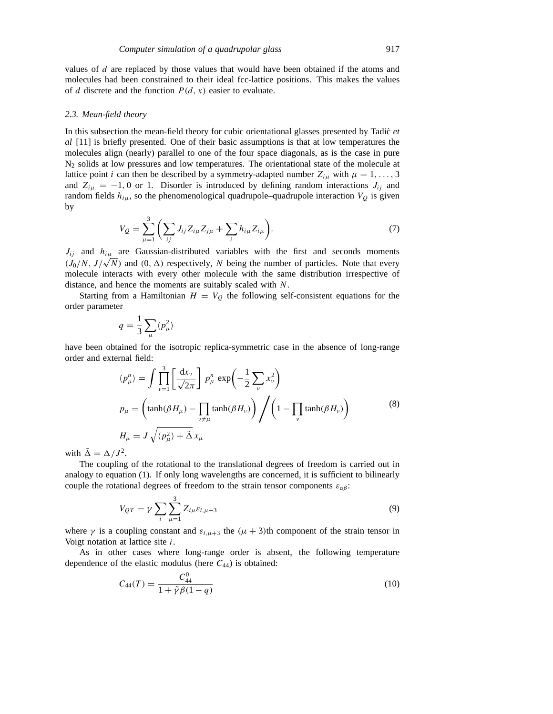values of  $d$  are replaced by those values that would have been obtained if the atoms and molecules had been constrained to their ideal fcc-lattice positions. This makes the values of d discrete and the function  $P(d, x)$  easier to evaluate.

#### *2.3. Mean-field theory*

In this subsection the mean-field theory for cubic orientational glasses presented by Tadic *et al* [11] is briefly presented. One of their basic assumptions is that at low temperatures the molecules align (nearly) parallel to one of the four space diagonals, as is the case in pure  $N<sub>2</sub>$  solids at low pressures and low temperatures. The orientational state of the molecule at lattice point *i* can then be described by a symmetry-adapted number  $Z_{i\mu}$  with  $\mu = 1, \ldots, 3$ and  $Z_{i\mu} = -1, 0$  or 1. Disorder is introduced by defining random interactions  $J_{ij}$  and random fields  $h_{i\mu}$ , so the phenomenological quadrupole–quadrupole interaction  $V_Q$  is given by

$$
V_Q = \sum_{\mu=1}^3 \left( \sum_{ij} J_{ij} Z_{i\mu} Z_{j\mu} + \sum_i h_{i\mu} Z_{i\mu} \right).
$$
 (7)

 $J_{ij}$  and  $h_{i\mu}$  are Gaussian-distributed variables with the first and seconds moments  $(J_0/N, J/\sqrt{N})$  and  $(0, \Delta)$  respectively, N being the number of particles. Note that every molecule interacts with every other molecule with the same distribution irrespective of distance, and hence the moments are suitably scaled with N.

Starting from a Hamiltonian  $H = V<sub>O</sub>$  the following self-consistent equations for the order parameter

$$
q = \frac{1}{3} \sum_{\mu} \langle p_{\mu}^2 \rangle
$$

have been obtained for the isotropic replica-symmetric case in the absence of long-range order and external field:

$$
\langle p_{\mu}^{n} \rangle = \int \prod_{\nu=1}^{3} \left[ \frac{dx_{\nu}}{\sqrt{2\pi}} \right] p_{\mu}^{n} \exp\left(-\frac{1}{2} \sum_{\nu} x_{\nu}^{2}\right)
$$
  
\n
$$
p_{\mu} = \left(\tanh(\beta H_{\mu}) - \prod_{\nu \neq \mu} \tanh(\beta H_{\nu})\right) \Bigg/ \left(1 - \prod_{\nu} \tanh(\beta H_{\nu})\right)
$$
  
\n
$$
H_{\mu} = J \sqrt{\langle p_{\mu}^{2} \rangle + \tilde{\Delta}} x_{\mu}
$$
\n(8)

with  $\tilde{\Delta} = \Delta / J^2$ .

The coupling of the rotational to the translational degrees of freedom is carried out in analogy to equation (1). If only long wavelengths are concerned, it is sufficient to bilinearly couple the rotational degrees of freedom to the strain tensor components  $\varepsilon_{\alpha\beta}$ :

$$
V_{QT} = \gamma \sum_{i} \sum_{\mu=1}^{3} Z_{i\mu} \varepsilon_{i,\mu+3}
$$
 (9)

where  $\gamma$  is a coupling constant and  $\varepsilon_{i,\mu+3}$  the  $(\mu+3)$ th component of the strain tensor in Voigt notation at lattice site i.

As in other cases where long-range order is absent, the following temperature dependence of the elastic modulus (here  $C_{44}$ ) is obtained:

$$
C_{44}(T) = \frac{C_{44}^0}{1 + \tilde{\gamma}\beta(1 - q)}
$$
\n(10)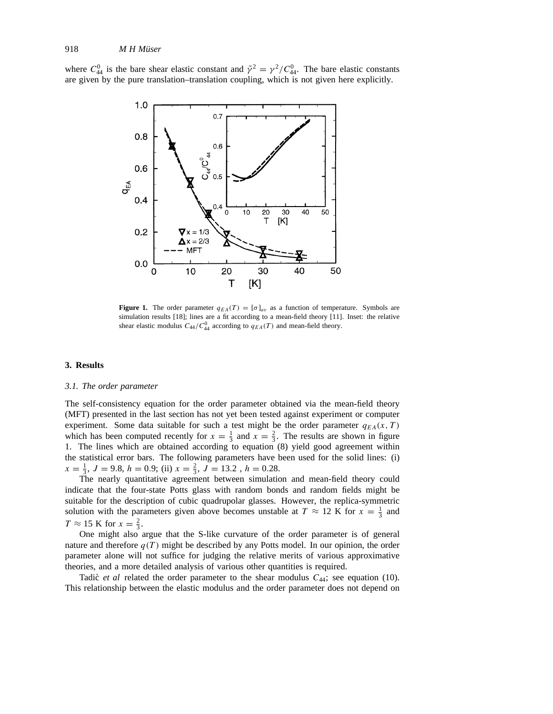where  $C_{44}^0$  is the bare shear elastic constant and  $\tilde{\gamma}^2 = \gamma^2 / C_{44}^0$ . The bare elastic constants are given by the pure translation–translation coupling, which is not given here explicitly.



**Figure 1.** The order parameter  $q_{EA}(T) = [\sigma]_{av}$  as a function of temperature. Symbols are simulation results [18]; lines are a fit according to a mean-field theory [11]. Inset: the relative shear elastic modulus  $C_{44}/C_{44}^0$  according to  $q_{EA}(T)$  and mean-field theory.

# **3. Results**

## *3.1. The order parameter*

The self-consistency equation for the order parameter obtained via the mean-field theory (MFT) presented in the last section has not yet been tested against experiment or computer experiment. Some data suitable for such a test might be the order parameter  $q_{EA}(x, T)$ which has been computed recently for  $x = \frac{1}{3}$  and  $x = \frac{2}{3}$ . The results are shown in figure 1. The lines which are obtained according to equation (8) yield good agreement within the statistical error bars. The following parameters have been used for the solid lines: (i)  $x = \frac{1}{3}, J = 9.8, h = 0.9;$  (ii)  $x = \frac{2}{3}, J = 13.2, h = 0.28$ .

The nearly quantitative agreement between simulation and mean-field theory could indicate that the four-state Potts glass with random bonds and random fields might be suitable for the description of cubic quadrupolar glasses. However, the replica-symmetric solution with the parameters given above becomes unstable at  $T \approx 12$  K for  $x = \frac{1}{3}$  and  $T \approx 15$  K for  $x = \frac{2}{3}$ .

One might also argue that the S-like curvature of the order parameter is of general nature and therefore  $q(T)$  might be described by any Potts model. In our opinion, the order parameter alone will not suffice for judging the relative merits of various approximative theories, and a more detailed analysis of various other quantities is required.

Tadic` *et al* related the order parameter to the shear modulus  $C_{44}$ ; see equation (10). This relationship between the elastic modulus and the order parameter does not depend on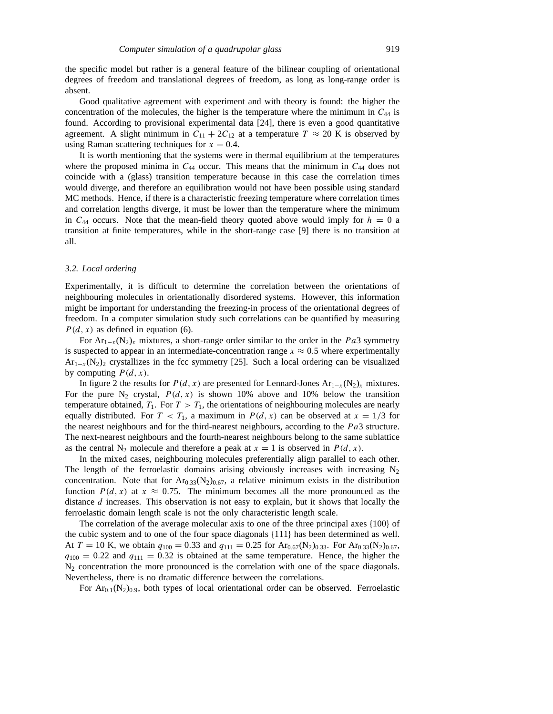the specific model but rather is a general feature of the bilinear coupling of orientational degrees of freedom and translational degrees of freedom, as long as long-range order is absent.

Good qualitative agreement with experiment and with theory is found: the higher the concentration of the molecules, the higher is the temperature where the minimum in  $C_{44}$  is found. According to provisional experimental data [24], there is even a good quantitative agreement. A slight minimum in  $C_{11} + 2C_{12}$  at a temperature  $T \approx 20$  K is observed by using Raman scattering techniques for  $x = 0.4$ .

It is worth mentioning that the systems were in thermal equilibrium at the temperatures where the proposed minima in  $C_{44}$  occur. This means that the minimum in  $C_{44}$  does not coincide with a (glass) transition temperature because in this case the correlation times would diverge, and therefore an equilibration would not have been possible using standard MC methods. Hence, if there is a characteristic freezing temperature where correlation times and correlation lengths diverge, it must be lower than the temperature where the minimum in  $C_{44}$  occurs. Note that the mean-field theory quoted above would imply for  $h = 0$  a transition at finite temperatures, while in the short-range case [9] there is no transition at all.

## *3.2. Local ordering*

Experimentally, it is difficult to determine the correlation between the orientations of neighbouring molecules in orientationally disordered systems. However, this information might be important for understanding the freezing-in process of the orientational degrees of freedom. In a computer simulation study such correlations can be quantified by measuring  $P(d, x)$  as defined in equation (6).

For Ar<sub>1−x</sub>(N<sub>2</sub>)<sub>x</sub> mixtures, a short-range order similar to the order in the Pa3 symmetry is suspected to appear in an intermediate-concentration range  $x \approx 0.5$  where experimentally  $Ar_{1-x}(N_2)$  crystallizes in the fcc symmetry [25]. Such a local ordering can be visualized by computing  $P(d, x)$ .

In figure 2 the results for  $P(d, x)$  are presented for Lennard-Jones Ar<sub>1−x</sub>(N<sub>2)x</sub> mixtures. For the pure N<sub>2</sub> crystal,  $P(d, x)$  is shown 10% above and 10% below the transition temperature obtained,  $T_1$ . For  $T > T_1$ , the orientations of neighbouring molecules are nearly equally distributed. For  $T < T_1$ , a maximum in  $P(d, x)$  can be observed at  $x = 1/3$  for the nearest neighbours and for the third-nearest neighbours, according to the  $Pa3$  structure. The next-nearest neighbours and the fourth-nearest neighbours belong to the same sublattice as the central N<sub>2</sub> molecule and therefore a peak at  $x = 1$  is observed in  $P(d, x)$ .

In the mixed cases, neighbouring molecules preferentially align parallel to each other. The length of the ferroelastic domains arising obviously increases with increasing  $N_2$ concentration. Note that for  $Ar_{0.33}(N_2)_{0.67}$ , a relative minimum exists in the distribution function  $P(d, x)$  at  $x \approx 0.75$ . The minimum becomes all the more pronounced as the distance d increases. This observation is not easy to explain, but it shows that locally the ferroelastic domain length scale is not the only characteristic length scale.

The correlation of the average molecular axis to one of the three principal axes {100} of the cubic system and to one of the four space diagonals {111} has been determined as well. At  $T = 10$  K, we obtain  $q_{100} = 0.33$  and  $q_{111} = 0.25$  for Ar<sub>0.67</sub>(N<sub>2</sub>)<sub>0.33</sub>. For Ar<sub>0.33</sub>(N<sub>2</sub>)<sub>0.67</sub>,  $q_{100} = 0.22$  and  $q_{111} = 0.32$  is obtained at the same temperature. Hence, the higher the  $N<sub>2</sub>$  concentration the more pronounced is the correlation with one of the space diagonals. Nevertheless, there is no dramatic difference between the correlations.

For  $Ar_{0.1}(N_2)_{0.9}$ , both types of local orientational order can be observed. Ferroelastic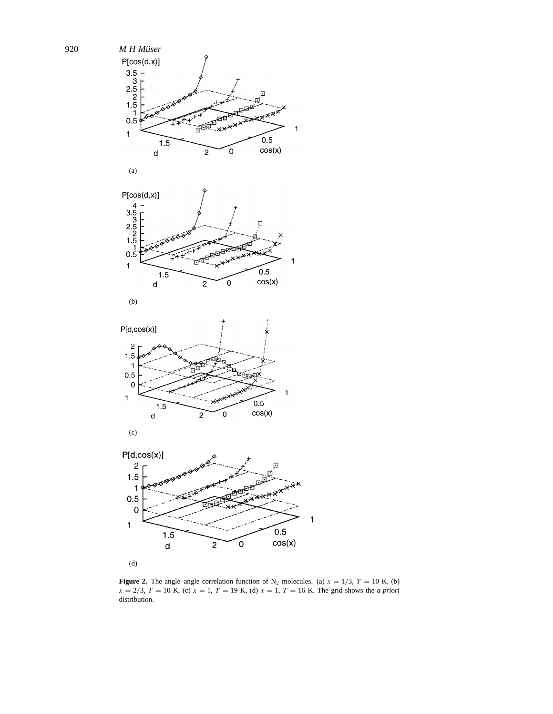

**Figure 2.** The angle–angle correlation function of N<sub>2</sub> molecules. (a)  $x = 1/3$ ,  $T = 10$  K, (b)  $x = 2/3$ ,  $T = 10$  K, (c)  $x = 1$ ,  $T = 19$  K, (d)  $x = 1$ ,  $T = 16$  K. The grid shows the *a priori* distribution.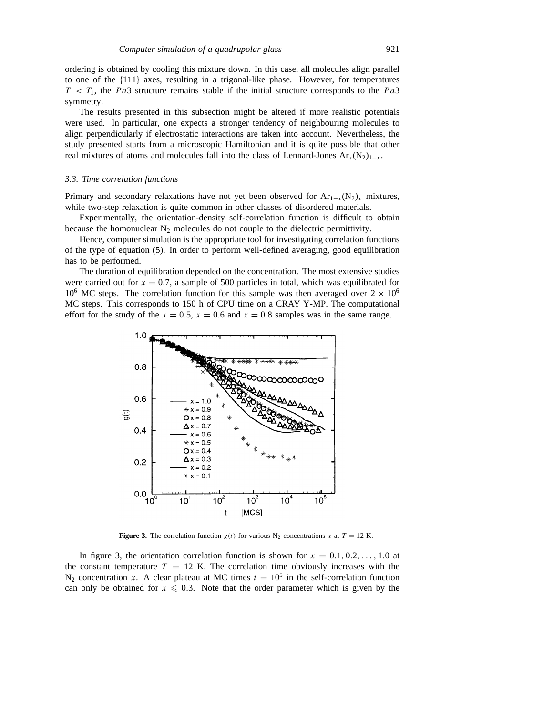ordering is obtained by cooling this mixture down. In this case, all molecules align parallel to one of the {111} axes, resulting in a trigonal-like phase. However, for temperatures  $T < T_1$ , the Pa3 structure remains stable if the initial structure corresponds to the Pa3 symmetry.

The results presented in this subsection might be altered if more realistic potentials were used. In particular, one expects a stronger tendency of neighbouring molecules to align perpendicularly if electrostatic interactions are taken into account. Nevertheless, the study presented starts from a microscopic Hamiltonian and it is quite possible that other real mixtures of atoms and molecules fall into the class of Lennard-Jones  $Ar_x(N_2)_{1-x}$ .

#### *3.3. Time correlation functions*

Primary and secondary relaxations have not yet been observed for  $Ar_{1-x}(N_2)_x$  mixtures, while two-step relaxation is quite common in other classes of disordered materials.

Experimentally, the orientation-density self-correlation function is difficult to obtain because the homonuclear  $N_2$  molecules do not couple to the dielectric permittivity.

Hence, computer simulation is the appropriate tool for investigating correlation functions of the type of equation (5). In order to perform well-defined averaging, good equilibration has to be performed.

The duration of equilibration depended on the concentration. The most extensive studies were carried out for  $x = 0.7$ , a sample of 500 particles in total, which was equilibrated for 10<sup>6</sup> MC steps. The correlation function for this sample was then averaged over  $2 \times 10^6$ MC steps. This corresponds to 150 h of CPU time on a CRAY Y-MP. The computational effort for the study of the  $x = 0.5$ ,  $x = 0.6$  and  $x = 0.8$  samples was in the same range.



**Figure 3.** The correlation function  $g(t)$  for various N<sub>2</sub> concentrations x at  $T = 12$  K.

In figure 3, the orientation correlation function is shown for  $x = 0.1, 0.2, \ldots, 1.0$  at the constant temperature  $T = 12$  K. The correlation time obviously increases with the  $N_2$  concentration x. A clear plateau at MC times  $t = 10^5$  in the self-correlation function can only be obtained for  $x \le 0.3$ . Note that the order parameter which is given by the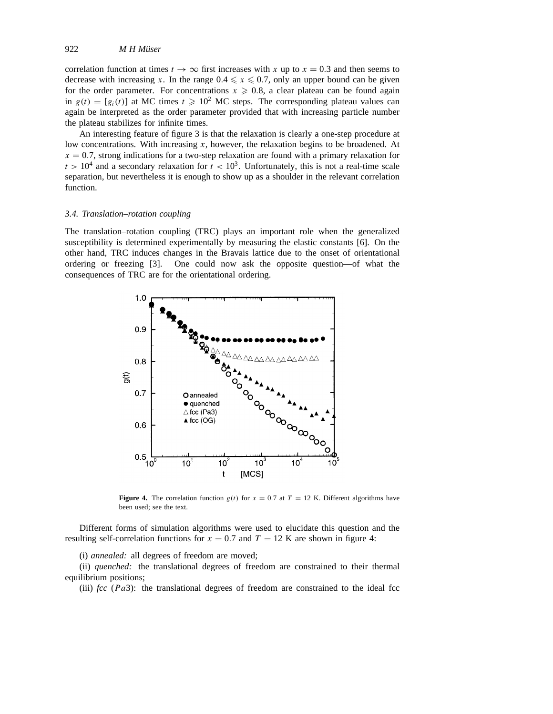correlation function at times  $t \to \infty$  first increases with x up to  $x = 0.3$  and then seems to decrease with increasing x. In the range  $0.4 \le x \le 0.7$ , only an upper bound can be given for the order parameter. For concentrations  $x \geq 0.8$ , a clear plateau can be found again in  $g(t) = [g_i(t)]$  at MC times  $t \ge 10^2$  MC steps. The corresponding plateau values can again be interpreted as the order parameter provided that with increasing particle number the plateau stabilizes for infinite times.

An interesting feature of figure 3 is that the relaxation is clearly a one-step procedure at low concentrations. With increasing  $x$ , however, the relaxation begins to be broadened. At  $x = 0.7$ , strong indications for a two-step relaxation are found with a primary relaxation for  $t > 10<sup>4</sup>$  and a secondary relaxation for  $t < 10<sup>3</sup>$ . Unfortunately, this is not a real-time scale separation, but nevertheless it is enough to show up as a shoulder in the relevant correlation function.

#### *3.4. Translation–rotation coupling*

The translation–rotation coupling (TRC) plays an important role when the generalized susceptibility is determined experimentally by measuring the elastic constants [6]. On the other hand, TRC induces changes in the Bravais lattice due to the onset of orientational ordering or freezing [3]. One could now ask the opposite question—of what the consequences of TRC are for the orientational ordering.



**Figure 4.** The correlation function  $g(t)$  for  $x = 0.7$  at  $T = 12$  K. Different algorithms have been used; see the text.

Different forms of simulation algorithms were used to elucidate this question and the resulting self-correlation functions for  $x = 0.7$  and  $T = 12$  K are shown in figure 4:

(i) *annealed:* all degrees of freedom are moved;

(ii) *quenched:* the translational degrees of freedom are constrained to their thermal equilibrium positions;

(iii)  $\beta$  (Pa3): the translational degrees of freedom are constrained to the ideal fcc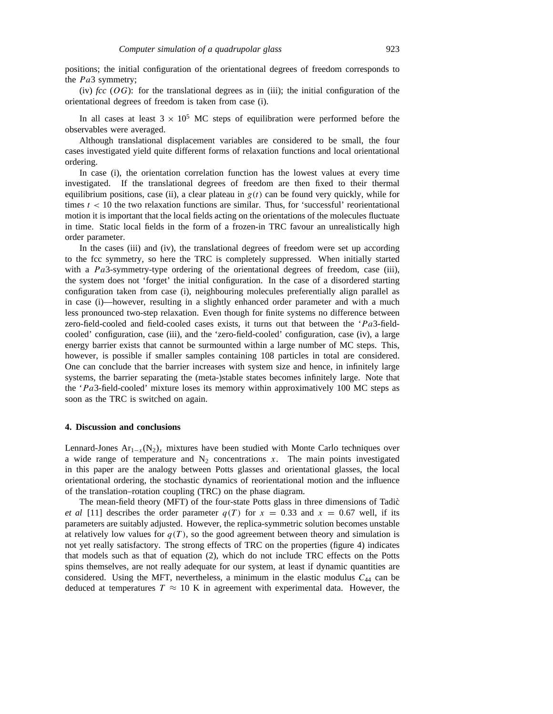positions; the initial configuration of the orientational degrees of freedom corresponds to the  $Pa3$  symmetry;

(iv)  $\hat{f}c\hat{c}$  (OG): for the translational degrees as in (iii); the initial configuration of the orientational degrees of freedom is taken from case (i).

In all cases at least  $3 \times 10^5$  MC steps of equilibration were performed before the observables were averaged.

Although translational displacement variables are considered to be small, the four cases investigated yield quite different forms of relaxation functions and local orientational ordering.

In case (i), the orientation correlation function has the lowest values at every time investigated. If the translational degrees of freedom are then fixed to their thermal equilibrium positions, case (ii), a clear plateau in  $g(t)$  can be found very quickly, while for times  $t < 10$  the two relaxation functions are similar. Thus, for 'successful' reorientational motion it is important that the local fields acting on the orientations of the molecules fluctuate in time. Static local fields in the form of a frozen-in TRC favour an unrealistically high order parameter.

In the cases (iii) and (iv), the translational degrees of freedom were set up according to the fcc symmetry, so here the TRC is completely suppressed. When initially started with a  $Pa3$ -symmetry-type ordering of the orientational degrees of freedom, case (iii), the system does not 'forget' the initial configuration. In the case of a disordered starting configuration taken from case (i), neighbouring molecules preferentially align parallel as in case (i)—however, resulting in a slightly enhanced order parameter and with a much less pronounced two-step relaxation. Even though for finite systems no difference between zero-field-cooled and field-cooled cases exists, it turns out that between the  $Pa3$ -fieldcooled' configuration, case (iii), and the 'zero-field-cooled' configuration, case (iv), a large energy barrier exists that cannot be surmounted within a large number of MC steps. This, however, is possible if smaller samples containing 108 particles in total are considered. One can conclude that the barrier increases with system size and hence, in infinitely large systems, the barrier separating the (meta-)stable states becomes infinitely large. Note that the  $Pa3$ -field-cooled' mixture loses its memory within approximatively 100 MC steps as soon as the TRC is switched on again.

#### **4. Discussion and conclusions**

Lennard-Jones  $Ar_{1-x}(N_2)_x$  mixtures have been studied with Monte Carlo techniques over a wide range of temperature and  $N_2$  concentrations x. The main points investigated in this paper are the analogy between Potts glasses and orientational glasses, the local orientational ordering, the stochastic dynamics of reorientational motion and the influence of the translation–rotation coupling (TRC) on the phase diagram.

The mean-field theory (MFT) of the four-state Potts glass in three dimensions of Tadic` *et al* [11] describes the order parameter  $q(T)$  for  $x = 0.33$  and  $x = 0.67$  well, if its parameters are suitably adjusted. However, the replica-symmetric solution becomes unstable at relatively low values for  $q(T)$ , so the good agreement between theory and simulation is not yet really satisfactory. The strong effects of TRC on the properties (figure 4) indicates that models such as that of equation (2), which do not include TRC effects on the Potts spins themselves, are not really adequate for our system, at least if dynamic quantities are considered. Using the MFT, nevertheless, a minimum in the elastic modulus  $C_{44}$  can be deduced at temperatures  $T \approx 10$  K in agreement with experimental data. However, the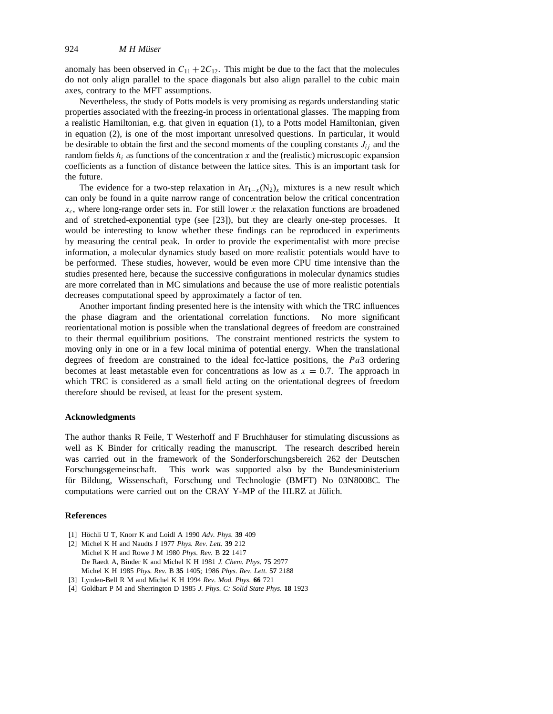anomaly has been observed in  $C_{11} + 2C_{12}$ . This might be due to the fact that the molecules do not only align parallel to the space diagonals but also align parallel to the cubic main axes, contrary to the MFT assumptions.

Nevertheless, the study of Potts models is very promising as regards understanding static properties associated with the freezing-in process in orientational glasses. The mapping from a realistic Hamiltonian, e.g. that given in equation (1), to a Potts model Hamiltonian, given in equation (2), is one of the most important unresolved questions. In particular, it would be desirable to obtain the first and the second moments of the coupling constants  $J_{ij}$  and the random fields  $h_i$  as functions of the concentration x and the (realistic) microscopic expansion coefficients as a function of distance between the lattice sites. This is an important task for the future.

The evidence for a two-step relaxation in  $Ar_{1-x}(N_2)_x$  mixtures is a new result which can only be found in a quite narrow range of concentration below the critical concentration  $x_c$ , where long-range order sets in. For still lower x the relaxation functions are broadened and of stretched-exponential type (see [23]), but they are clearly one-step processes. It would be interesting to know whether these findings can be reproduced in experiments by measuring the central peak. In order to provide the experimentalist with more precise information, a molecular dynamics study based on more realistic potentials would have to be performed. These studies, however, would be even more CPU time intensive than the studies presented here, because the successive configurations in molecular dynamics studies are more correlated than in MC simulations and because the use of more realistic potentials decreases computational speed by approximately a factor of ten.

Another important finding presented here is the intensity with which the TRC influences the phase diagram and the orientational correlation functions. No more significant reorientational motion is possible when the translational degrees of freedom are constrained to their thermal equilibrium positions. The constraint mentioned restricts the system to moving only in one or in a few local minima of potential energy. When the translational degrees of freedom are constrained to the ideal fcc-lattice positions, the  $Pa3$  ordering becomes at least metastable even for concentrations as low as  $x = 0.7$ . The approach in which TRC is considered as a small field acting on the orientational degrees of freedom therefore should be revised, at least for the present system.

# **Acknowledgments**

The author thanks R Feile, T Westerhoff and F Bruchhäuser for stimulating discussions as well as K Binder for critically reading the manuscript. The research described herein was carried out in the framework of the Sonderforschungsbereich 262 der Deutschen Forschungsgemeinschaft. This work was supported also by the Bundesministerium für Bildung, Wissenschaft, Forschung und Technologie (BMFT) No 03N8008C. The computations were carried out on the CRAY Y-MP of the HLRZ at Jülich.

#### **References**

- [1] Höchli U T, Knorr K and Loidl A 1990 Adv. Phys. 39 409
- [2] Michel K H and Naudts J 1977 *Phys. Rev. Lett.* **39** 212
- Michel K H and Rowe J M 1980 *Phys. Rev.* B **22** 1417 De Raedt A, Binder K and Michel K H 1981 *J. Chem. Phys.* **75** 2977 Michel K H 1985 *Phys. Rev.* B **35** 1405; 1986 *Phys. Rev. Lett.* **57** 2188
- [3] Lynden-Bell R M and Michel K H 1994 *Rev. Mod. Phys.* **66** 721
- [4] Goldbart P M and Sherrington D 1985 *J. Phys. C: Solid State Phys.* **18** 1923